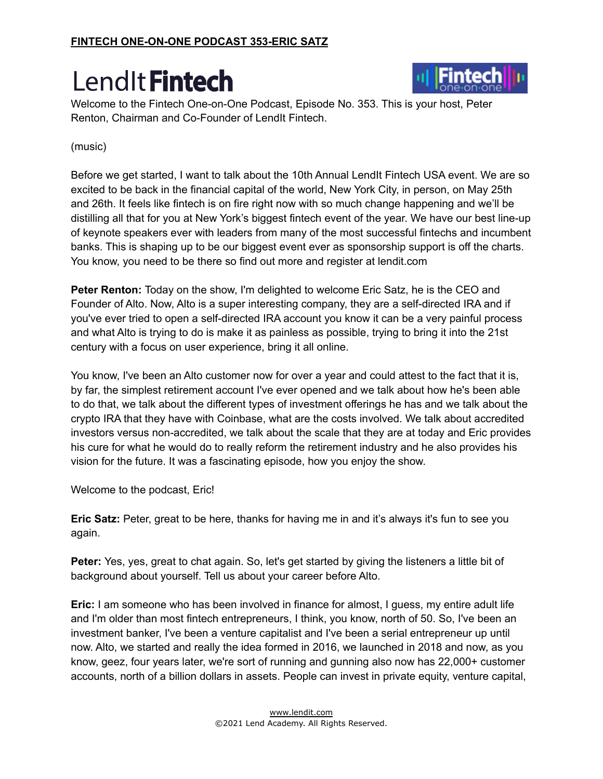

Welcome to the Fintech One-on-One Podcast, Episode No. 353. This is your host, Peter Renton, Chairman and Co-Founder of LendIt Fintech.

#### (music)

Before we get started, I want to talk about the 10th Annual LendIt Fintech USA event. We are so excited to be back in the financial capital of the world, New York City, in person, on May 25th and 26th. It feels like fintech is on fire right now with so much change happening and we'll be distilling all that for you at New York's biggest fintech event of the year. We have our best line-up of keynote speakers ever with leaders from many of the most successful fintechs and incumbent banks. This is shaping up to be our biggest event ever as sponsorship support is off the charts. You know, you need to be there so find out more and register at lendit.com

**Peter Renton:** Today on the show, I'm delighted to welcome Eric Satz, he is the CEO and Founder of Alto. Now, Alto is a super interesting company, they are a self-directed IRA and if you've ever tried to open a self-directed IRA account you know it can be a very painful process and what Alto is trying to do is make it as painless as possible, trying to bring it into the 21st century with a focus on user experience, bring it all online.

You know, I've been an Alto customer now for over a year and could attest to the fact that it is, by far, the simplest retirement account I've ever opened and we talk about how he's been able to do that, we talk about the different types of investment offerings he has and we talk about the crypto IRA that they have with Coinbase, what are the costs involved. We talk about accredited investors versus non-accredited, we talk about the scale that they are at today and Eric provides his cure for what he would do to really reform the retirement industry and he also provides his vision for the future. It was a fascinating episode, how you enjoy the show.

Welcome to the podcast, Eric!

**Eric Satz:** Peter, great to be here, thanks for having me in and it's always it's fun to see you again.

**Peter:** Yes, yes, great to chat again. So, let's get started by giving the listeners a little bit of background about yourself. Tell us about your career before Alto.

**Eric:** I am someone who has been involved in finance for almost, I guess, my entire adult life and I'm older than most fintech entrepreneurs, I think, you know, north of 50. So, I've been an investment banker, I've been a venture capitalist and I've been a serial entrepreneur up until now. Alto, we started and really the idea formed in 2016, we launched in 2018 and now, as you know, geez, four years later, we're sort of running and gunning also now has 22,000+ customer accounts, north of a billion dollars in assets. People can invest in private equity, venture capital,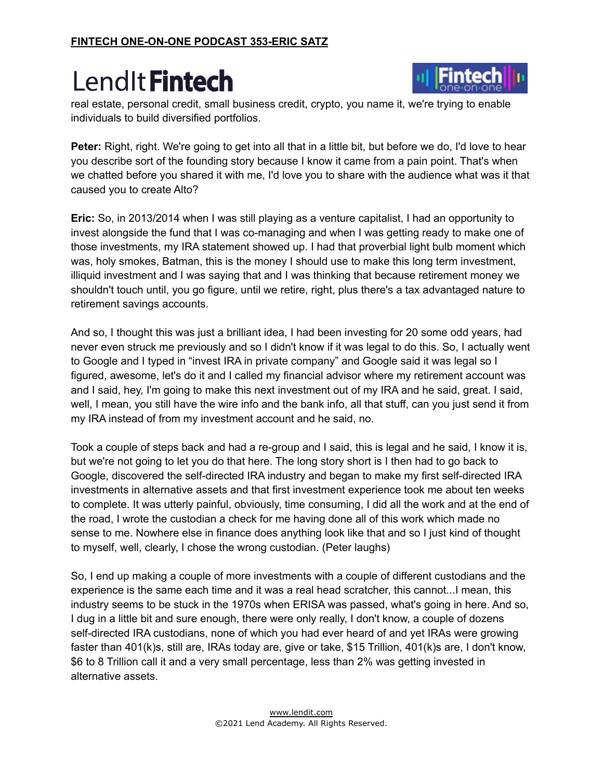

real estate, personal credit, small business credit, crypto, you name it, we're trying to enable individuals to build diversified portfolios.

**Peter:** Right, right. We're going to get into all that in a little bit, but before we do, I'd love to hear you describe sort of the founding story because I know it came from a pain point. That's when we chatted before you shared it with me, I'd love you to share with the audience what was it that caused you to create Alto?

**Eric:** So, in 2013/2014 when I was still playing as a venture capitalist, I had an opportunity to invest alongside the fund that I was co-managing and when I was getting ready to make one of those investments, my IRA statement showed up. I had that proverbial light bulb moment which was, holy smokes, Batman, this is the money I should use to make this long term investment, illiquid investment and I was saying that and I was thinking that because retirement money we shouldn't touch until, you go figure, until we retire, right, plus there's a tax advantaged nature to retirement savings accounts.

And so, I thought this was just a brilliant idea, I had been investing for 20 some odd years, had never even struck me previously and so I didn't know if it was legal to do this. So, I actually went to Google and I typed in "invest IRA in private company" and Google said it was legal so I figured, awesome, let's do it and I called my financial advisor where my retirement account was and I said, hey, I'm going to make this next investment out of my IRA and he said, great. I said, well, I mean, you still have the wire info and the bank info, all that stuff, can you just send it from my IRA instead of from my investment account and he said, no.

Took a couple of steps back and had a re-group and I said, this is legal and he said, I know it is, but we're not going to let you do that here. The long story short is I then had to go back to Google, discovered the self-directed IRA industry and began to make my first self-directed IRA investments in alternative assets and that first investment experience took me about ten weeks to complete. It was utterly painful, obviously, time consuming, I did all the work and at the end of the road, I wrote the custodian a check for me having done all of this work which made no sense to me. Nowhere else in finance does anything look like that and so I just kind of thought to myself, well, clearly, I chose the wrong custodian. (Peter laughs)

So, I end up making a couple of more investments with a couple of different custodians and the experience is the same each time and it was a real head scratcher, this cannot...I mean, this industry seems to be stuck in the 1970s when ERISA was passed, what's going in here. And so, I dug in a little bit and sure enough, there were only really, I don't know, a couple of dozens self-directed IRA custodians, none of which you had ever heard of and yet IRAs were growing faster than 401(k)s, still are, IRAs today are, give or take, \$15 Trillion, 401(k)s are, I don't know, \$6 to 8 Trillion call it and a very small percentage, less than 2% was getting invested in alternative assets.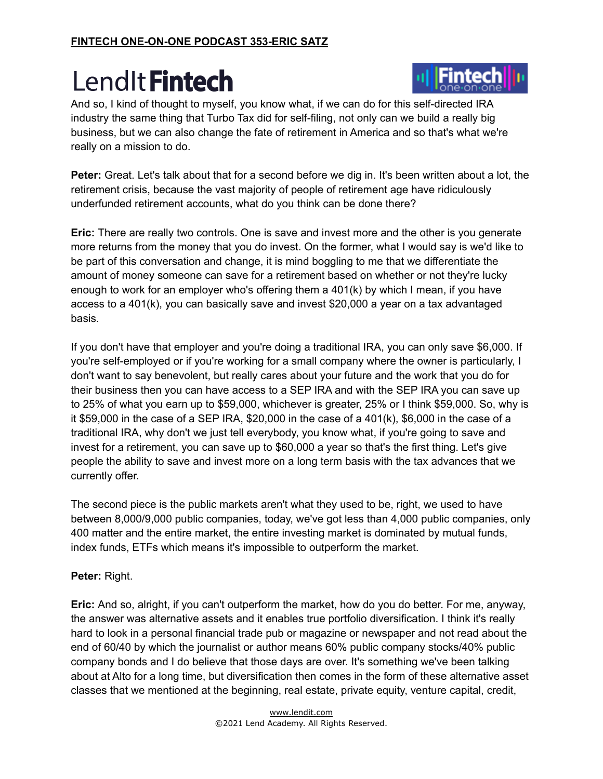

And so, I kind of thought to myself, you know what, if we can do for this self-directed IRA industry the same thing that Turbo Tax did for self-filing, not only can we build a really big business, but we can also change the fate of retirement in America and so that's what we're really on a mission to do.

**Peter:** Great. Let's talk about that for a second before we dig in. It's been written about a lot, the retirement crisis, because the vast majority of people of retirement age have ridiculously underfunded retirement accounts, what do you think can be done there?

**Eric:** There are really two controls. One is save and invest more and the other is you generate more returns from the money that you do invest. On the former, what I would say is we'd like to be part of this conversation and change, it is mind boggling to me that we differentiate the amount of money someone can save for a retirement based on whether or not they're lucky enough to work for an employer who's offering them a 401(k) by which I mean, if you have access to a 401(k), you can basically save and invest \$20,000 a year on a tax advantaged basis.

If you don't have that employer and you're doing a traditional IRA, you can only save \$6,000. If you're self-employed or if you're working for a small company where the owner is particularly, I don't want to say benevolent, but really cares about your future and the work that you do for their business then you can have access to a SEP IRA and with the SEP IRA you can save up to 25% of what you earn up to \$59,000, whichever is greater, 25% or I think \$59,000. So, why is it \$59,000 in the case of a SEP IRA, \$20,000 in the case of a 401(k), \$6,000 in the case of a traditional IRA, why don't we just tell everybody, you know what, if you're going to save and invest for a retirement, you can save up to \$60,000 a year so that's the first thing. Let's give people the ability to save and invest more on a long term basis with the tax advances that we currently offer.

The second piece is the public markets aren't what they used to be, right, we used to have between 8,000/9,000 public companies, today, we've got less than 4,000 public companies, only 400 matter and the entire market, the entire investing market is dominated by mutual funds, index funds, ETFs which means it's impossible to outperform the market.

#### **Peter:** Right.

**Eric:** And so, alright, if you can't outperform the market, how do you do better. For me, anyway, the answer was alternative assets and it enables true portfolio diversification. I think it's really hard to look in a personal financial trade pub or magazine or newspaper and not read about the end of 60/40 by which the journalist or author means 60% public company stocks/40% public company bonds and I do believe that those days are over. It's something we've been talking about at Alto for a long time, but diversification then comes in the form of these alternative asset classes that we mentioned at the beginning, real estate, private equity, venture capital, credit,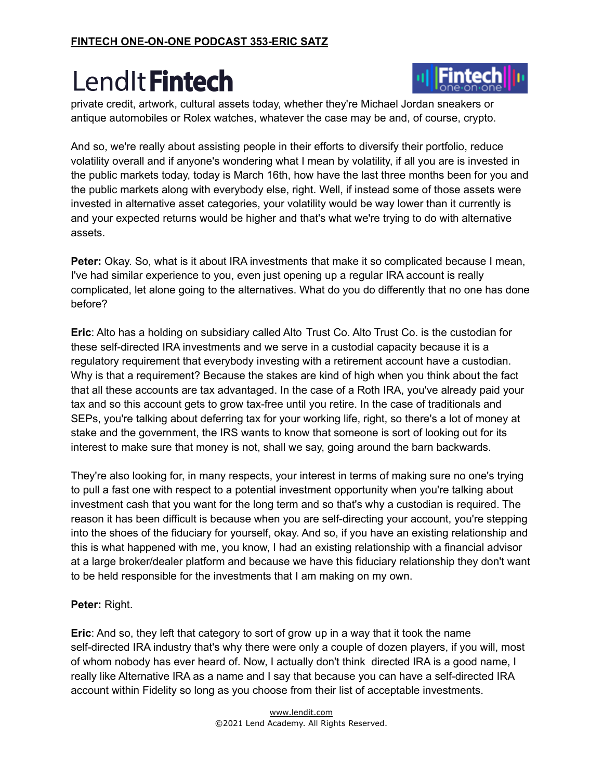

private credit, artwork, cultural assets today, whether they're Michael Jordan sneakers or antique automobiles or Rolex watches, whatever the case may be and, of course, crypto.

And so, we're really about assisting people in their efforts to diversify their portfolio, reduce volatility overall and if anyone's wondering what I mean by volatility, if all you are is invested in the public markets today, today is March 16th, how have the last three months been for you and the public markets along with everybody else, right. Well, if instead some of those assets were invested in alternative asset categories, your volatility would be way lower than it currently is and your expected returns would be higher and that's what we're trying to do with alternative assets.

**Peter:** Okay. So, what is it about IRA investments that make it so complicated because I mean, I've had similar experience to you, even just opening up a regular IRA account is really complicated, let alone going to the alternatives. What do you do differently that no one has done before?

**Eric**: Alto has a holding on subsidiary called Alto Trust Co. Alto Trust Co. is the custodian for these self-directed IRA investments and we serve in a custodial capacity because it is a regulatory requirement that everybody investing with a retirement account have a custodian. Why is that a requirement? Because the stakes are kind of high when you think about the fact that all these accounts are tax advantaged. In the case of a Roth IRA, you've already paid your tax and so this account gets to grow tax-free until you retire. In the case of traditionals and SEPs, you're talking about deferring tax for your working life, right, so there's a lot of money at stake and the government, the IRS wants to know that someone is sort of looking out for its interest to make sure that money is not, shall we say, going around the barn backwards.

They're also looking for, in many respects, your interest in terms of making sure no one's trying to pull a fast one with respect to a potential investment opportunity when you're talking about investment cash that you want for the long term and so that's why a custodian is required. The reason it has been difficult is because when you are self-directing your account, you're stepping into the shoes of the fiduciary for yourself, okay. And so, if you have an existing relationship and this is what happened with me, you know, I had an existing relationship with a financial advisor at a large broker/dealer platform and because we have this fiduciary relationship they don't want to be held responsible for the investments that I am making on my own.

#### **Peter:** Right.

**Eric**: And so, they left that category to sort of grow up in a way that it took the name self-directed IRA industry that's why there were only a couple of dozen players, if you will, most of whom nobody has ever heard of. Now, I actually don't think directed IRA is a good name, I really like Alternative IRA as a name and I say that because you can have a self-directed IRA account within Fidelity so long as you choose from their list of acceptable investments.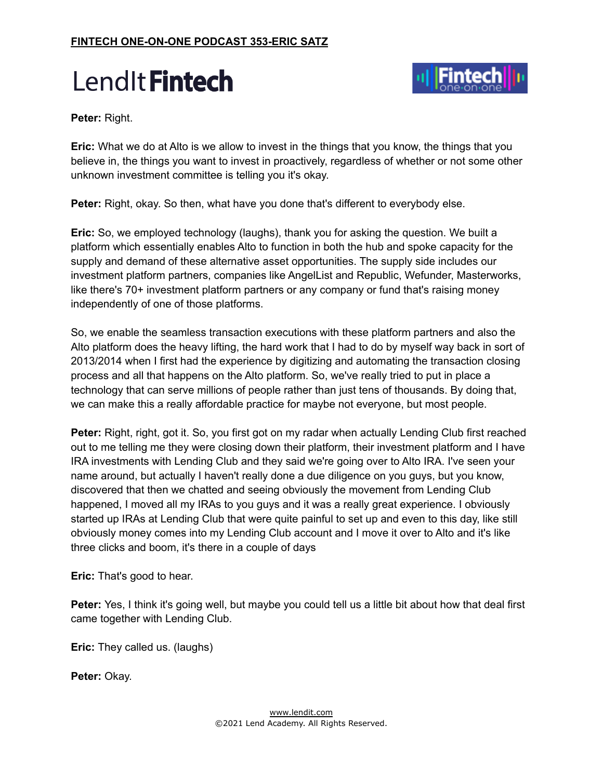



**Peter:** Right.

**Eric:** What we do at Alto is we allow to invest in the things that you know, the things that you believe in, the things you want to invest in proactively, regardless of whether or not some other unknown investment committee is telling you it's okay.

**Peter:** Right, okay. So then, what have you done that's different to everybody else.

**Eric:** So, we employed technology (laughs), thank you for asking the question. We built a platform which essentially enables Alto to function in both the hub and spoke capacity for the supply and demand of these alternative asset opportunities. The supply side includes our investment platform partners, companies like AngelList and Republic, Wefunder, Masterworks, like there's 70+ investment platform partners or any company or fund that's raising money independently of one of those platforms.

So, we enable the seamless transaction executions with these platform partners and also the Alto platform does the heavy lifting, the hard work that I had to do by myself way back in sort of 2013/2014 when I first had the experience by digitizing and automating the transaction closing process and all that happens on the Alto platform. So, we've really tried to put in place a technology that can serve millions of people rather than just tens of thousands. By doing that, we can make this a really affordable practice for maybe not everyone, but most people.

**Peter:** Right, right, got it. So, you first got on my radar when actually Lending Club first reached out to me telling me they were closing down their platform, their investment platform and I have IRA investments with Lending Club and they said we're going over to Alto IRA. I've seen your name around, but actually I haven't really done a due diligence on you guys, but you know, discovered that then we chatted and seeing obviously the movement from Lending Club happened, I moved all my IRAs to you guys and it was a really great experience. I obviously started up IRAs at Lending Club that were quite painful to set up and even to this day, like still obviously money comes into my Lending Club account and I move it over to Alto and it's like three clicks and boom, it's there in a couple of days

**Eric:** That's good to hear.

**Peter:** Yes, I think it's going well, but maybe you could tell us a little bit about how that deal first came together with Lending Club.

**Eric:** They called us. (laughs)

**Peter:** Okay.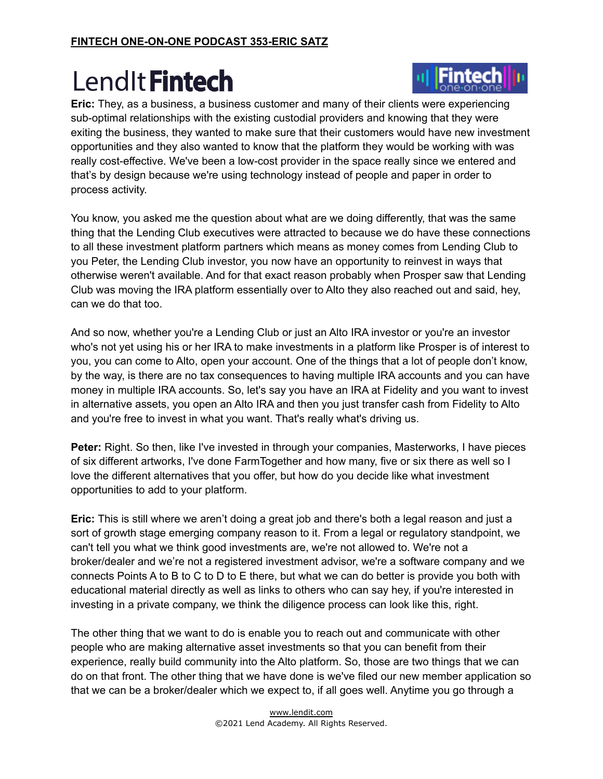

**Eric:** They, as a business, a business customer and many of their clients were experiencing sub-optimal relationships with the existing custodial providers and knowing that they were exiting the business, they wanted to make sure that their customers would have new investment opportunities and they also wanted to know that the platform they would be working with was really cost-effective. We've been a low-cost provider in the space really since we entered and that's by design because we're using technology instead of people and paper in order to process activity.

You know, you asked me the question about what are we doing differently, that was the same thing that the Lending Club executives were attracted to because we do have these connections to all these investment platform partners which means as money comes from Lending Club to you Peter, the Lending Club investor, you now have an opportunity to reinvest in ways that otherwise weren't available. And for that exact reason probably when Prosper saw that Lending Club was moving the IRA platform essentially over to Alto they also reached out and said, hey, can we do that too.

And so now, whether you're a Lending Club or just an Alto IRA investor or you're an investor who's not yet using his or her IRA to make investments in a platform like Prosper is of interest to you, you can come to Alto, open your account. One of the things that a lot of people don't know, by the way, is there are no tax consequences to having multiple IRA accounts and you can have money in multiple IRA accounts. So, let's say you have an IRA at Fidelity and you want to invest in alternative assets, you open an Alto IRA and then you just transfer cash from Fidelity to Alto and you're free to invest in what you want. That's really what's driving us.

**Peter:** Right. So then, like I've invested in through your companies, Masterworks, I have pieces of six different artworks, I've done FarmTogether and how many, five or six there as well so I love the different alternatives that you offer, but how do you decide like what investment opportunities to add to your platform.

**Eric:** This is still where we aren't doing a great job and there's both a legal reason and just a sort of growth stage emerging company reason to it. From a legal or regulatory standpoint, we can't tell you what we think good investments are, we're not allowed to. We're not a broker/dealer and we're not a registered investment advisor, we're a software company and we connects Points A to B to C to D to E there, but what we can do better is provide you both with educational material directly as well as links to others who can say hey, if you're interested in investing in a private company, we think the diligence process can look like this, right.

The other thing that we want to do is enable you to reach out and communicate with other people who are making alternative asset investments so that you can benefit from their experience, really build community into the Alto platform. So, those are two things that we can do on that front. The other thing that we have done is we've filed our new member application so that we can be a broker/dealer which we expect to, if all goes well. Anytime you go through a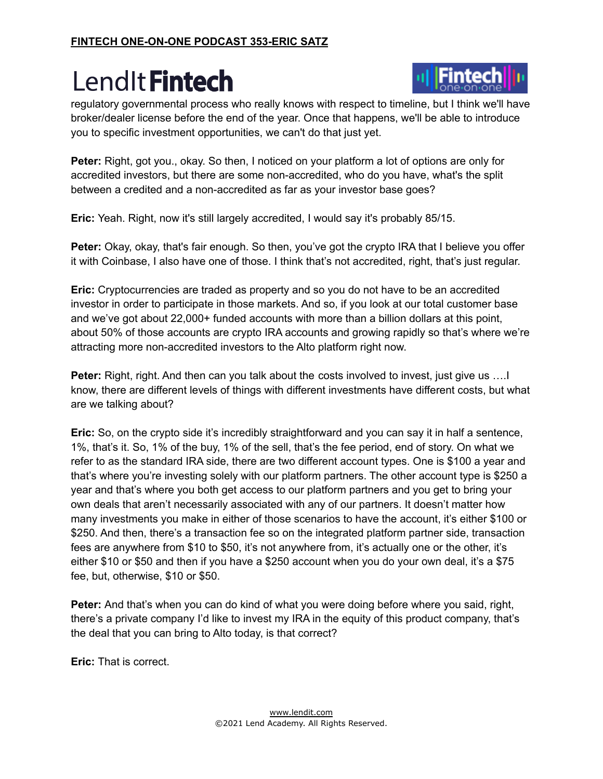

regulatory governmental process who really knows with respect to timeline, but I think we'll have broker/dealer license before the end of the year. Once that happens, we'll be able to introduce you to specific investment opportunities, we can't do that just yet.

**Peter:** Right, got you., okay. So then, I noticed on your platform a lot of options are only for accredited investors, but there are some non-accredited, who do you have, what's the split between a credited and a non-accredited as far as your investor base goes?

**Eric:** Yeah. Right, now it's still largely accredited, I would say it's probably 85/15.

**Peter:** Okay, okay, that's fair enough. So then, you've got the crypto IRA that I believe you offer it with Coinbase, I also have one of those. I think that's not accredited, right, that's just regular.

**Eric:** Cryptocurrencies are traded as property and so you do not have to be an accredited investor in order to participate in those markets. And so, if you look at our total customer base and we've got about 22,000+ funded accounts with more than a billion dollars at this point, about 50% of those accounts are crypto IRA accounts and growing rapidly so that's where we're attracting more non-accredited investors to the Alto platform right now.

**Peter:** Right, right. And then can you talk about the costs involved to invest, just give us ….I know, there are different levels of things with different investments have different costs, but what are we talking about?

**Eric:** So, on the crypto side it's incredibly straightforward and you can say it in half a sentence, 1%, that's it. So, 1% of the buy, 1% of the sell, that's the fee period, end of story. On what we refer to as the standard IRA side, there are two different account types. One is \$100 a year and that's where you're investing solely with our platform partners. The other account type is \$250 a year and that's where you both get access to our platform partners and you get to bring your own deals that aren't necessarily associated with any of our partners. It doesn't matter how many investments you make in either of those scenarios to have the account, it's either \$100 or \$250. And then, there's a transaction fee so on the integrated platform partner side, transaction fees are anywhere from \$10 to \$50, it's not anywhere from, it's actually one or the other, it's either \$10 or \$50 and then if you have a \$250 account when you do your own deal, it's a \$75 fee, but, otherwise, \$10 or \$50.

**Peter:** And that's when you can do kind of what you were doing before where you said, right, there's a private company I'd like to invest my IRA in the equity of this product company, that's the deal that you can bring to Alto today, is that correct?

**Eric:** That is correct.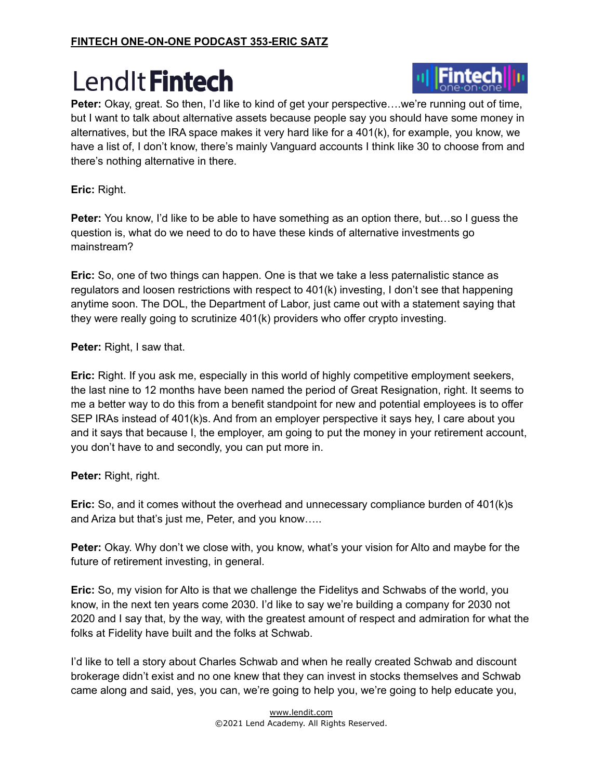

Peter: Okay, great. So then, I'd like to kind of get your perspective....we're running out of time, but I want to talk about alternative assets because people say you should have some money in alternatives, but the IRA space makes it very hard like for a 401(k), for example, you know, we have a list of, I don't know, there's mainly Vanguard accounts I think like 30 to choose from and there's nothing alternative in there.

**Eric:** Right.

**Peter:** You know, I'd like to be able to have something as an option there, but…so I guess the question is, what do we need to do to have these kinds of alternative investments go mainstream?

**Eric:** So, one of two things can happen. One is that we take a less paternalistic stance as regulators and loosen restrictions with respect to 401(k) investing, I don't see that happening anytime soon. The DOL, the Department of Labor, just came out with a statement saying that they were really going to scrutinize 401(k) providers who offer crypto investing.

**Peter:** Right, I saw that.

**Eric:** Right. If you ask me, especially in this world of highly competitive employment seekers, the last nine to 12 months have been named the period of Great Resignation, right. It seems to me a better way to do this from a benefit standpoint for new and potential employees is to offer SEP IRAs instead of 401(k)s. And from an employer perspective it says hey, I care about you and it says that because I, the employer, am going to put the money in your retirement account, you don't have to and secondly, you can put more in.

**Peter:** Right, right.

**Eric:** So, and it comes without the overhead and unnecessary compliance burden of 401(k)s and Ariza but that's just me, Peter, and you know…..

**Peter:** Okay. Why don't we close with, you know, what's your vision for Alto and maybe for the future of retirement investing, in general.

**Eric:** So, my vision for Alto is that we challenge the Fidelitys and Schwabs of the world, you know, in the next ten years come 2030. I'd like to say we're building a company for 2030 not 2020 and I say that, by the way, with the greatest amount of respect and admiration for what the folks at Fidelity have built and the folks at Schwab.

I'd like to tell a story about Charles Schwab and when he really created Schwab and discount brokerage didn't exist and no one knew that they can invest in stocks themselves and Schwab came along and said, yes, you can, we're going to help you, we're going to help educate you,